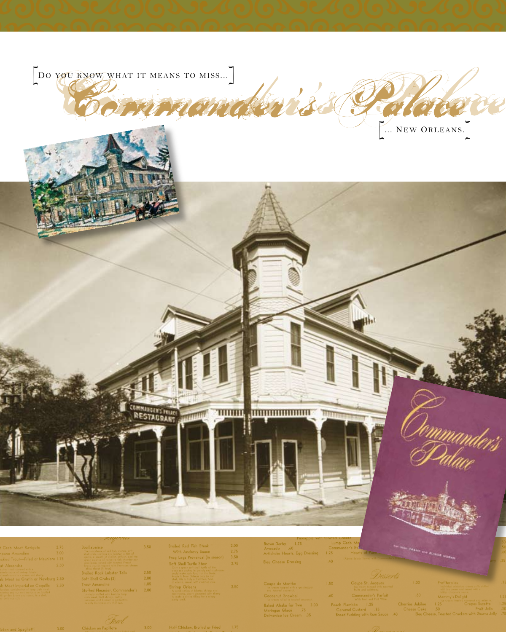

Half Chicken, Broiled or Fr

Baked Alaska for Two 3.00<br>Meringue Glacé 75<br>Delmonico Ice Cream 35